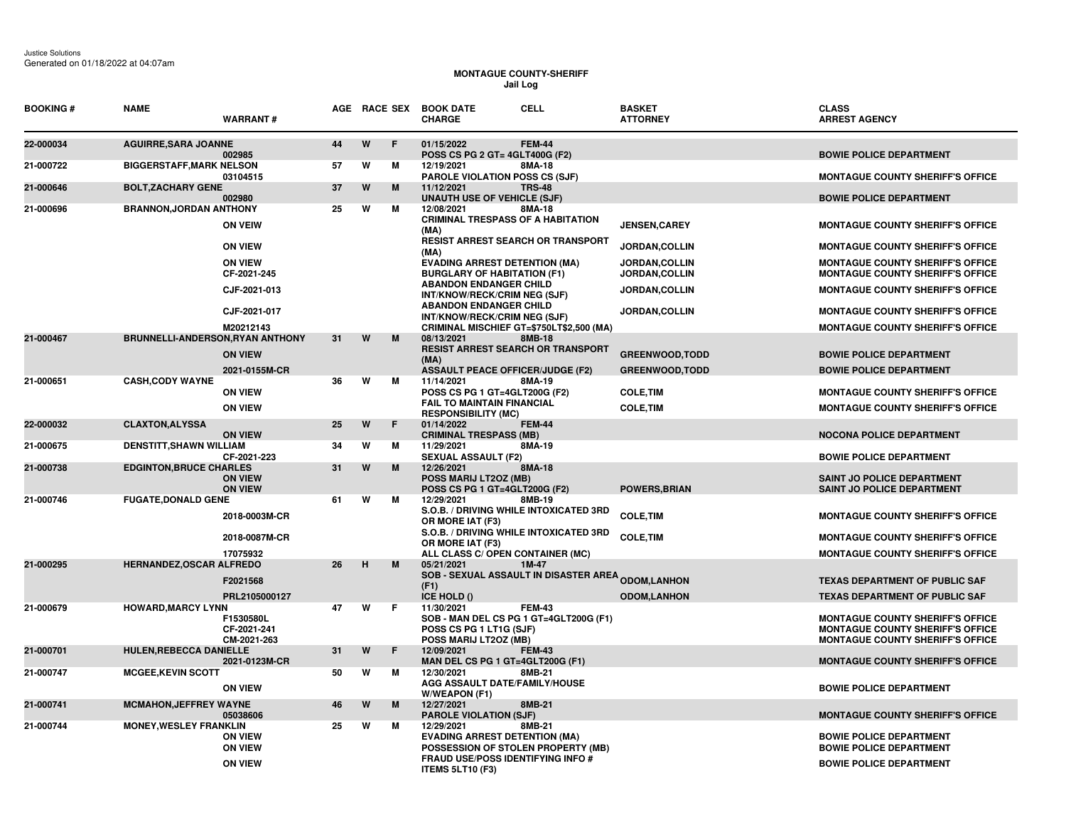## **MONTAGUE COUNTY-SHERIFF Jail Log**

| <b>BOOKING#</b> | <b>NAME</b>                             | <b>WARRANT#</b>                                    |    |   | AGE RACE SEX | <b>BOOK DATE</b><br><b>CHARGE</b>                                                                                                                        | <b>CELL</b>   | <b>BASKET</b><br><b>ATTORNEY</b>             | <b>CLASS</b><br><b>ARREST AGENCY</b>                                                                                          |
|-----------------|-----------------------------------------|----------------------------------------------------|----|---|--------------|----------------------------------------------------------------------------------------------------------------------------------------------------------|---------------|----------------------------------------------|-------------------------------------------------------------------------------------------------------------------------------|
| 22-000034       | <b>AGUIRRE, SARA JOANNE</b>             | 002985                                             | 44 | W | F            | 01/15/2022<br>POSS CS PG 2 GT= 4GLT400G (F2)                                                                                                             | <b>FEM-44</b> |                                              | <b>BOWIE POLICE DEPARTMENT</b>                                                                                                |
| 21-000722       | <b>BIGGERSTAFF, MARK NELSON</b>         | 03104515                                           | 57 | W | м            | 12/19/2021<br><b>PAROLE VIOLATION POSS CS (SJF)</b>                                                                                                      | 8MA-18        |                                              | <b>MONTAGUE COUNTY SHERIFF'S OFFICE</b>                                                                                       |
| 21-000646       | <b>BOLT.ZACHARY GENE</b>                | 002980                                             | 37 | W | M            | 11/12/2021<br><b>UNAUTH USE OF VEHICLE (SJF)</b>                                                                                                         | <b>TRS-48</b> |                                              | <b>BOWIE POLICE DEPARTMENT</b>                                                                                                |
| 21-000696       | <b>BRANNON, JORDAN ANTHONY</b>          | <b>ON VEIW</b>                                     | 25 | W | м            | 12/08/2021<br><b>CRIMINAL TRESPASS OF A HABITATION</b><br>(MA)                                                                                           | 8MA-18        | <b>JENSEN, CAREY</b>                         | <b>MONTAGUE COUNTY SHERIFF'S OFFICE</b>                                                                                       |
|                 |                                         | <b>ON VIEW</b>                                     |    |   |              | <b>RESIST ARREST SEARCH OR TRANSPORT</b><br>(MA)                                                                                                         |               | <b>JORDAN,COLLIN</b>                         | <b>MONTAGUE COUNTY SHERIFF'S OFFICE</b>                                                                                       |
|                 |                                         | <b>ON VIEW</b><br>CF-2021-245                      |    |   |              | <b>EVADING ARREST DETENTION (MA)</b><br><b>BURGLARY OF HABITATION (F1)</b>                                                                               |               | <b>JORDAN,COLLIN</b><br><b>JORDAN,COLLIN</b> | <b>MONTAGUE COUNTY SHERIFF'S OFFICE</b><br><b>MONTAGUE COUNTY SHERIFF'S OFFICE</b>                                            |
|                 |                                         | CJF-2021-013                                       |    |   |              | <b>ABANDON ENDANGER CHILD</b><br>INT/KNOW/RECK/CRIM NEG (SJF)                                                                                            |               | JORDAN, COLLIN                               | <b>MONTAGUE COUNTY SHERIFF'S OFFICE</b>                                                                                       |
|                 |                                         | CJF-2021-017                                       |    |   |              | <b>ABANDON ENDANGER CHILD</b><br>INT/KNOW/RECK/CRIM NEG (SJF)                                                                                            |               | JORDAN, COLLIN                               | <b>MONTAGUE COUNTY SHERIFF'S OFFICE</b>                                                                                       |
| 21-000467       | <b>BRUNNELLI-ANDERSON, RYAN ANTHONY</b> | M20212143                                          | 31 | W | M            | CRIMINAL MISCHIEF GT=\$750LT\$2,500 (MA)<br>08/13/2021                                                                                                   | 8MB-18        |                                              | <b>MONTAGUE COUNTY SHERIFF'S OFFICE</b>                                                                                       |
|                 |                                         | <b>ON VIEW</b>                                     |    |   |              | <b>RESIST ARREST SEARCH OR TRANSPORT</b><br>(MA)                                                                                                         |               | <b>GREENWOOD, TODD</b>                       | <b>BOWIE POLICE DEPARTMENT</b>                                                                                                |
|                 |                                         | 2021-0155M-CR                                      |    |   |              | <b>ASSAULT PEACE OFFICER/JUDGE (F2)</b>                                                                                                                  |               | <b>GREENWOOD.TODD</b>                        | <b>BOWIE POLICE DEPARTMENT</b>                                                                                                |
| 21-000651       | <b>CASH, CODY WAYNE</b>                 | <b>ON VIEW</b>                                     | 36 | W | м            | 11/14/2021<br>POSS CS PG 1 GT=4GLT200G (F2)                                                                                                              | 8MA-19        | <b>COLE, TIM</b>                             | <b>MONTAGUE COUNTY SHERIFF'S OFFICE</b>                                                                                       |
|                 |                                         | <b>ON VIEW</b>                                     |    |   |              | <b>FAIL TO MAINTAIN FINANCIAL</b><br><b>RESPONSIBILITY (MC)</b>                                                                                          |               | <b>COLE, TIM</b>                             | <b>MONTAGUE COUNTY SHERIFF'S OFFICE</b>                                                                                       |
| 22-000032       | <b>CLAXTON.ALYSSA</b>                   | <b>ON VIEW</b>                                     | 25 | W | F.           | 01/14/2022<br><b>CRIMINAL TRESPASS (MB)</b>                                                                                                              | <b>FEM-44</b> |                                              | <b>NOCONA POLICE DEPARTMENT</b>                                                                                               |
| 21-000675       | <b>DENSTITT, SHAWN WILLIAM</b>          | CF-2021-223                                        | 34 | W | м            | 11/29/2021<br><b>SEXUAL ASSAULT (F2)</b>                                                                                                                 | 8MA-19        |                                              | <b>BOWIE POLICE DEPARTMENT</b>                                                                                                |
| 21-000738       | <b>EDGINTON, BRUCE CHARLES</b>          | <b>ON VIEW</b><br><b>ON VIEW</b>                   | 31 | W | M            | 12/26/2021<br>POSS MARIJ LT2OZ (MB)<br>POSS CS PG 1 GT=4GLT200G (F2)                                                                                     | 8MA-18        | <b>POWERS, BRIAN</b>                         | SAINT JO POLICE DEPARTMENT<br>SAINT JO POLICE DEPARTMENT                                                                      |
| 21-000746       | <b>FUGATE, DONALD GENE</b>              |                                                    | 61 | w | м            | 12/29/2021                                                                                                                                               | 8MB-19        |                                              |                                                                                                                               |
|                 |                                         | 2018-0003M-CR                                      |    |   |              | S.O.B. / DRIVING WHILE INTOXICATED 3RD<br>OR MORE IAT (F3)                                                                                               |               | <b>COLE, TIM</b>                             | <b>MONTAGUE COUNTY SHERIFF'S OFFICE</b>                                                                                       |
|                 |                                         | 2018-0087M-CR<br>17075932                          |    |   |              | S.O.B. / DRIVING WHILE INTOXICATED 3RD<br>OR MORE IAT (F3)<br>ALL CLASS C/ OPEN CONTAINER (MC)                                                           |               | <b>COLE, TIM</b>                             | <b>MONTAGUE COUNTY SHERIFF'S OFFICE</b><br><b>MONTAGUE COUNTY SHERIFF'S OFFICE</b>                                            |
| 21-000295       | <b>HERNANDEZ, OSCAR ALFREDO</b>         |                                                    | 26 | н | M            | 05/21/2021                                                                                                                                               | 1M-47         |                                              |                                                                                                                               |
|                 |                                         | F2021568                                           |    |   |              | SOB - SEXUAL ASSAULT IN DISASTER AREA <sub>ODOM,LANHON</sub><br>(F1)                                                                                     |               |                                              | <b>TEXAS DEPARTMENT OF PUBLIC SAF</b>                                                                                         |
|                 |                                         | PRL2105000127                                      |    |   |              | ICE HOLD ()                                                                                                                                              |               | <b>ODOM,LANHON</b>                           | <b>TEXAS DEPARTMENT OF PUBLIC SAF</b>                                                                                         |
| 21-000679       | <b>HOWARD, MARCY LYNN</b>               | F1530580L<br>CF-2021-241<br>CM-2021-263            | 47 | W | F            | 11/30/2021<br>SOB - MAN DEL CS PG 1 GT=4GLT200G (F1)<br>POSS CS PG 1 LT1G (SJF)<br>POSS MARIJ LT20Z (MB)                                                 | <b>FEM-43</b> |                                              | <b>MONTAGUE COUNTY SHERIFF'S OFFICE</b><br><b>MONTAGUE COUNTY SHERIFF'S OFFICE</b><br><b>MONTAGUE COUNTY SHERIFF'S OFFICE</b> |
| 21-000701       | <b>HULEN, REBECCA DANIELLE</b>          | 2021-0123M-CR                                      | 31 | W | F            | 12/09/2021<br>MAN DEL CS PG 1 GT=4GLT200G (F1)                                                                                                           | <b>FEM-43</b> |                                              | <b>MONTAGUE COUNTY SHERIFF'S OFFICE</b>                                                                                       |
| 21-000747       | <b>MCGEE, KEVIN SCOTT</b>               | <b>ON VIEW</b>                                     | 50 | W | м            | 12/30/2021<br>AGG ASSAULT DATE/FAMILY/HOUSE<br>W/WEAPON (F1)                                                                                             | 8MB-21        |                                              | <b>BOWIE POLICE DEPARTMENT</b>                                                                                                |
| 21-000741       | <b>MCMAHON, JEFFREY WAYNE</b>           | 05038606                                           | 46 | W | M            | 12/27/2021<br><b>PAROLE VIOLATION (SJF)</b>                                                                                                              | 8MB-21        |                                              | <b>MONTAGUE COUNTY SHERIFF'S OFFICE</b>                                                                                       |
| 21-000744       | <b>MONEY, WESLEY FRANKLIN</b>           | <b>ON VIEW</b><br><b>ON VIEW</b><br><b>ON VIEW</b> | 25 | W | м            | 12/29/2021<br><b>EVADING ARREST DETENTION (MA)</b><br>POSSESSION OF STOLEN PROPERTY (MB)<br>FRAUD USE/POSS IDENTIFYING INFO #<br><b>ITEMS 5LT10 (F3)</b> | 8MB-21        |                                              | <b>BOWIE POLICE DEPARTMENT</b><br><b>BOWIE POLICE DEPARTMENT</b><br><b>BOWIE POLICE DEPARTMENT</b>                            |